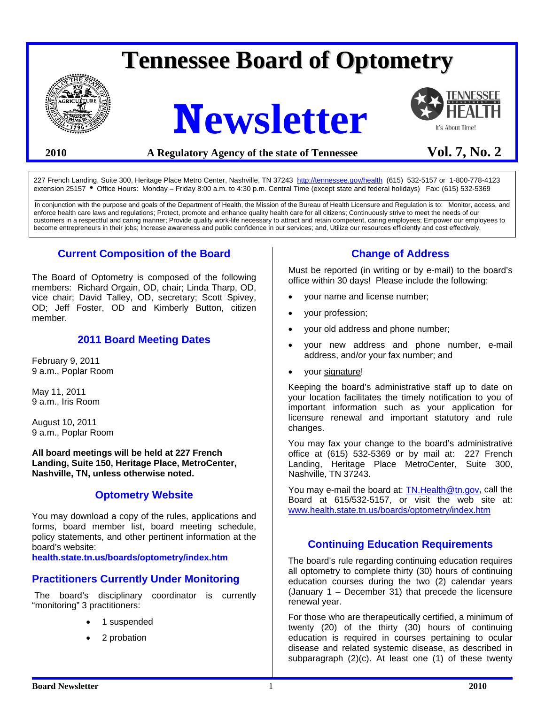# **Tennessee Board of Optometry**



# **Newsletter**



# 2010 **A Regulatory Agency of the state of Tennessee** Vol. 7, No. 2

227 French Landing, Suite 300, Heritage Place Metro Center, Nashville, TN 37243 <http://tennessee.gov/health>(615) 532-5157 or 1-800-778-4123 extension 25157 • Office Hours: Monday – Friday 8:00 a.m. to 4:30 p.m. Central Time (except state and federal holidays) Fax: (615) 532-5369

\_\_\_\_\_\_\_\_\_\_\_\_\_\_\_\_\_\_\_\_\_\_\_\_\_\_\_\_\_\_\_\_\_\_\_\_\_\_\_\_\_\_\_\_\_\_\_\_\_\_\_\_\_\_\_\_\_\_\_\_\_\_\_\_\_\_\_\_\_\_\_\_\_\_\_\_\_\_\_\_\_\_\_\_\_\_\_\_\_\_\_\_\_\_\_\_\_\_\_\_\_\_\_\_\_\_\_\_\_\_\_\_\_\_\_\_\_\_\_\_ In conjunction with the purpose and goals of the Department of Health, the Mission of the Bureau of Health Licensure and Regulation is to: Monitor, access, and enforce health care laws and regulations; Protect, promote and enhance quality health care for all citizens; Continuously strive to meet the needs of our customers in a respectful and caring manner; Provide quality work-life necessary to attract and retain competent, caring employees; Empower our employees to become entrepreneurs in their jobs; Increase awareness and public confidence in our services; and, Utilize our resources efficiently and cost effectively.

# **Current Composition of the Board**

The Board of Optometry is composed of the following members: Richard Orgain, OD, chair; Linda Tharp, OD, vice chair; David Talley, OD, secretary; Scott Spivey, OD; Jeff Foster, OD and Kimberly Button, citizen member.

# **2011 Board Meeting Dates**

February 9, 2011 9 a.m., Poplar Room

May 11, 2011 9 a.m., Iris Room

August 10, 2011 9 a.m., Poplar Room

**All board meetings will be held at 227 French Landing, Suite 150, Heritage Place, MetroCenter, Nashville, TN, unless otherwise noted.** 

# **Optometry Website**

You may download a copy of the rules, applications and forms, board member list, board meeting schedule, policy statements, and other pertinent information at the board's website:

**health.state.tn.us/boards/optometry/index.htm** 

# **Practitioners Currently Under Monitoring**

 The board's disciplinary coordinator is currently "monitoring" 3 practitioners:

- 1 suspended
- 2 probation

# **Change of Address**

Must be reported (in writing or by e-mail) to the board's office within 30 days! Please include the following:

- your name and license number;
- your profession;
- your old address and phone number;
- your new address and phone number, e-mail address, and/or your fax number; and
- your signature!

Keeping the board's administrative staff up to date on your location facilitates the timely notification to you of important information such as your application for licensure renewal and important statutory and rule changes.

You may fax your change to the board's administrative office at (615) 532-5369 or by mail at: 227 French Landing, Heritage Place MetroCenter, Suite 300, Nashville, TN 37243.

You may e-mail the board at: [TN.Health@tn.gov](mailto:TN.Health@tn.gov), call the Board at 615/532-5157, or visit the web site at: [www.health.state.tn.us/boards/optometry/index.htm](http://www.health.state.tn.us/boards/optometry/index.htm)

# **Continuing Education Requirements**

The board's rule regarding continuing education requires all optometry to complete thirty (30) hours of continuing education courses during the two (2) calendar years (January 1 – December 31) that precede the licensure renewal year.

For those who are therapeutically certified, a minimum of twenty (20) of the thirty (30) hours of continuing education is required in courses pertaining to ocular disease and related systemic disease, as described in subparagraph (2)(c). At least one (1) of these twenty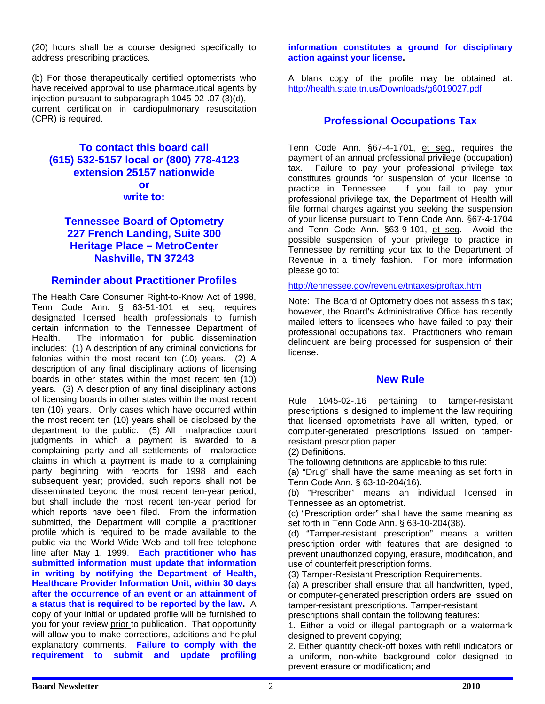(20) hours shall be a course designed specifically to address prescribing practices.

(b) For those therapeutically certified optometrists who have received approval to use pharmaceutical agents by injection pursuant to subparagraph 1045-02-.07 (3)(d), current certification in cardiopulmonary resuscitation (CPR) is required.

# **To contact this board call (615) 532-5157 local or (800) 778-4123 extension 25157 nationwide or write to:**

# **Tennessee Board of Optometry 227 French Landing, Suite 300 Heritage Place – MetroCenter Nashville, TN 37243**

# **Reminder about Practitioner Profiles**

The Health Care Consumer Right-to-Know Act of 1998, Tenn Code Ann. § 63-51-101 et seq, requires designated licensed health professionals to furnish certain information to the Tennessee Department of Health. The information for public dissemination includes: (1) A description of any criminal convictions for felonies within the most recent ten (10) years. (2) A description of any final disciplinary actions of licensing boards in other states within the most recent ten (10) years. (3) A description of any final disciplinary actions of licensing boards in other states within the most recent ten (10) years. Only cases which have occurred within the most recent ten (10) years shall be disclosed by the department to the public. (5) All malpractice court judgments in which a payment is awarded to a complaining party and all settlements of malpractice claims in which a payment is made to a complaining party beginning with reports for 1998 and each subsequent year; provided, such reports shall not be disseminated beyond the most recent ten-year period, but shall include the most recent ten-year period for which reports have been filed. From the information submitted, the Department will compile a practitioner profile which is required to be made available to the public via the World Wide Web and toll-free telephone line after May 1, 1999. **Each practitioner who has submitted information must update that information in writing by notifying the Department of Health, Healthcare Provider Information Unit, within 30 days after the occurrence of an event or an attainment of a status that is required to be reported by the law.** A copy of your initial or updated profile will be furnished to you for your review prior to publication. That opportunity will allow you to make corrections, additions and helpful explanatory comments. **Failure to comply with the requirement to submit and update profiling** 

**information constitutes a ground for disciplinary action against your license.** 

A blank copy of the profile may be obtained at: <http://health.state.tn.us/Downloads/g6019027.pdf>

# **Professional Occupations Tax**

Tenn Code Ann. §67-4-1701, et seq., requires the payment of an annual professional privilege (occupation) tax. Failure to pay your professional privilege tax constitutes grounds for suspension of your license to practice in Tennessee. If you fail to pay your professional privilege tax, the Department of Health will file formal charges against you seeking the suspension of your license pursuant to Tenn Code Ann. §67-4-1704 and Tenn Code Ann. §63-9-101, et seq. Avoid the possible suspension of your privilege to practice in Tennessee by remitting your tax to the Department of Revenue in a timely fashion. For more information please go to:

<http://tennessee.gov/revenue/tntaxes/proftax.htm>

Note: The Board of Optometry does not assess this tax; however, the Board's Administrative Office has recently mailed letters to licensees who have failed to pay their professional occupations tax. Practitioners who remain delinquent are being processed for suspension of their license.

# **New Rule**

Rule 1045-02-.16 pertaining to tamper-resistant prescriptions is designed to implement the law requiring that licensed optometrists have all written, typed, or computer-generated prescriptions issued on tamperresistant prescription paper.

(2) Definitions.

The following definitions are applicable to this rule:

(a) "Drug" shall have the same meaning as set forth in Tenn Code Ann. § 63-10-204(16).

(b) "Prescriber" means an individual licensed in Tennessee as an optometrist.

(c) "Prescription order" shall have the same meaning as set forth in Tenn Code Ann. § 63-10-204(38).

(d) "Tamper-resistant prescription" means a written prescription order with features that are designed to prevent unauthorized copying, erasure, modification, and use of counterfeit prescription forms.

(3) Tamper-Resistant Prescription Requirements.

(a) A prescriber shall ensure that all handwritten, typed, or computer-generated prescription orders are issued on tamper-resistant prescriptions. Tamper-resistant

prescriptions shall contain the following features:

1. Either a void or illegal pantograph or a watermark designed to prevent copying;

2. Either quantity check-off boxes with refill indicators or a uniform, non-white background color designed to prevent erasure or modification; and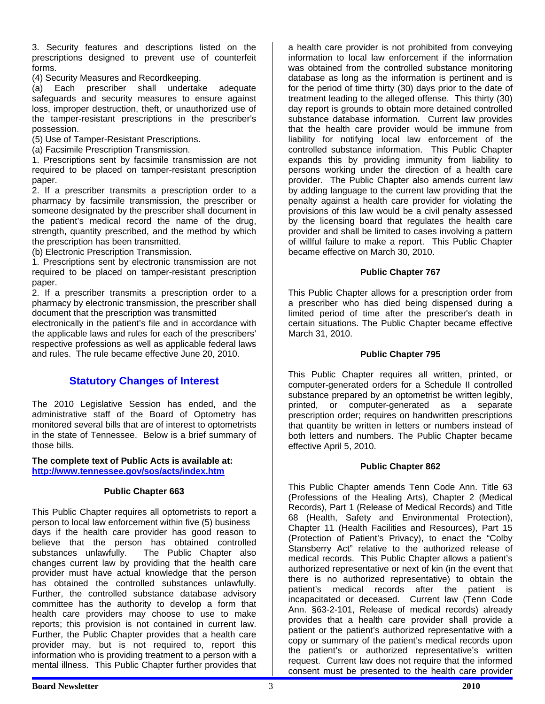3. Security features and descriptions listed on the prescriptions designed to prevent use of counterfeit forms.

(4) Security Measures and Recordkeeping.

(a) Each prescriber shall undertake adequate safeguards and security measures to ensure against loss, improper destruction, theft, or unauthorized use of the tamper-resistant prescriptions in the prescriber's possession.

(5) Use of Tamper-Resistant Prescriptions.

(a) Facsimile Prescription Transmission.

1. Prescriptions sent by facsimile transmission are not required to be placed on tamper-resistant prescription paper.

2. If a prescriber transmits a prescription order to a pharmacy by facsimile transmission, the prescriber or someone designated by the prescriber shall document in the patient's medical record the name of the drug, strength, quantity prescribed, and the method by which the prescription has been transmitted.

(b) Electronic Prescription Transmission.

1. Prescriptions sent by electronic transmission are not required to be placed on tamper-resistant prescription paper.

2. If a prescriber transmits a prescription order to a pharmacy by electronic transmission, the prescriber shall document that the prescription was transmitted

electronically in the patient's file and in accordance with the applicable laws and rules for each of the prescribers' respective professions as well as applicable federal laws and rules. The rule became effective June 20, 2010.

# **Statutory Changes of Interest**

The 2010 Legislative Session has ended, and the administrative staff of the Board of Optometry has monitored several bills that are of interest to optometrists in the state of Tennessee. Below is a brief summary of those bills.

#### **The complete text of Public Acts is available at: <http://www.tennessee.gov/sos/acts/index.htm>**

#### **Public Chapter 663**

This Public Chapter requires all optometrists to report a person to local law enforcement within five (5) business days if the health care provider has good reason to believe that the person has obtained controlled substances unlawfully. The Public Chapter also changes current law by providing that the health care provider must have actual knowledge that the person has obtained the controlled substances unlawfully. Further, the controlled substance database advisory committee has the authority to develop a form that health care providers may choose to use to make reports; this provision is not contained in current law. Further, the Public Chapter provides that a health care provider may, but is not required to, report this information who is providing treatment to a person with a mental illness. This Public Chapter further provides that

a health care provider is not prohibited from conveying information to local law enforcement if the information was obtained from the controlled substance monitoring database as long as the information is pertinent and is for the period of time thirty (30) days prior to the date of treatment leading to the alleged offense. This thirty (30) day report is grounds to obtain more detained controlled substance database information. Current law provides that the health care provider would be immune from liability for notifying local law enforcement of the controlled substance information. This Public Chapter expands this by providing immunity from liability to persons working under the direction of a health care provider. The Public Chapter also amends current law by adding language to the current law providing that the penalty against a health care provider for violating the provisions of this law would be a civil penalty assessed by the licensing board that regulates the health care provider and shall be limited to cases involving a pattern of willful failure to make a report. This Public Chapter became effective on March 30, 2010.

#### **Public Chapter 767**

This Public Chapter allows for a prescription order from a prescriber who has died being dispensed during a limited period of time after the prescriber's death in certain situations. The Public Chapter became effective March 31, 2010.

#### **Public Chapter 795**

This Public Chapter requires all written, printed, or computer-generated orders for a Schedule II controlled substance prepared by an optometrist be written legibly, printed, or computer-generated as a separate prescription order; requires on handwritten prescriptions that quantity be written in letters or numbers instead of both letters and numbers. The Public Chapter became effective April 5, 2010.

#### **Public Chapter 862**

This Public Chapter amends Tenn Code Ann. Title 63 (Professions of the Healing Arts), Chapter 2 (Medical Records), Part 1 (Release of Medical Records) and Title 68 (Health, Safety and Environmental Protection), Chapter 11 (Health Facilities and Resources), Part 15 (Protection of Patient's Privacy), to enact the "Colby Stansberry Act" relative to the authorized release of medical records. This Public Chapter allows a patient's authorized representative or next of kin (in the event that there is no authorized representative) to obtain the patient's medical records after the patient is incapacitated or deceased. Current law (Tenn Code Ann. §63-2-101, Release of medical records) already provides that a health care provider shall provide a patient or the patient's authorized representative with a copy or summary of the patient's medical records upon the patient's or authorized representative's written request. Current law does not require that the informed consent must be presented to the health care provider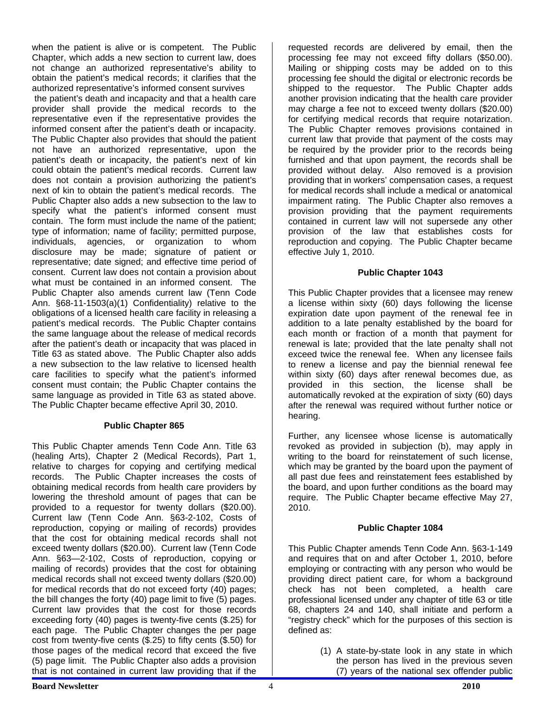when the patient is alive or is competent. The Public Chapter, which adds a new section to current law, does not change an authorized representative's ability to obtain the patient's medical records; it clarifies that the authorized representative's informed consent survives

 the patient's death and incapacity and that a health care provider shall provide the medical records to the representative even if the representative provides the informed consent after the patient's death or incapacity. The Public Chapter also provides that should the patient not have an authorized representative, upon the patient's death or incapacity, the patient's next of kin could obtain the patient's medical records. Current law does not contain a provision authorizing the patient's next of kin to obtain the patient's medical records. The Public Chapter also adds a new subsection to the law to specify what the patient's informed consent must contain. The form must include the name of the patient; type of information; name of facility; permitted purpose, individuals, agencies, or organization to whom disclosure may be made; signature of patient or representative; date signed; and effective time period of consent. Current law does not contain a provision about what must be contained in an informed consent. The Public Chapter also amends current law (Tenn Code Ann. §68-11-1503(a)(1) Confidentiality) relative to the obligations of a licensed health care facility in releasing a patient's medical records. The Public Chapter contains the same language about the release of medical records after the patient's death or incapacity that was placed in Title 63 as stated above. The Public Chapter also adds a new subsection to the law relative to licensed health care facilities to specify what the patient's informed consent must contain; the Public Chapter contains the same language as provided in Title 63 as stated above. The Public Chapter became effective April 30, 2010.

# **Public Chapter 865**

This Public Chapter amends Tenn Code Ann. Title 63 (healing Arts), Chapter 2 (Medical Records), Part 1, relative to charges for copying and certifying medical records. The Public Chapter increases the costs of obtaining medical records from health care providers by lowering the threshold amount of pages that can be provided to a requestor for twenty dollars (\$20.00). Current law (Tenn Code Ann. §63-2-102, Costs of reproduction, copying or mailing of records) provides that the cost for obtaining medical records shall not exceed twenty dollars (\$20.00). Current law (Tenn Code Ann. §63—2-102, Costs of reproduction, copying or mailing of records) provides that the cost for obtaining medical records shall not exceed twenty dollars (\$20.00) for medical records that do not exceed forty (40) pages; the bill changes the forty (40) page limit to five (5) pages. Current law provides that the cost for those records exceeding forty (40) pages is twenty-five cents (\$.25) for each page. The Public Chapter changes the per page cost from twenty-five cents (\$.25) to fifty cents (\$.50) for those pages of the medical record that exceed the five (5) page limit. The Public Chapter also adds a provision that is not contained in current law providing that if the

requested records are delivered by email, then the processing fee may not exceed fifty dollars (\$50.00). Mailing or shipping costs may be added on to this processing fee should the digital or electronic records be shipped to the requestor. The Public Chapter adds another provision indicating that the health care provider may charge a fee not to exceed twenty dollars (\$20.00) for certifying medical records that require notarization. The Public Chapter removes provisions contained in current law that provide that payment of the costs may be required by the provider prior to the records being furnished and that upon payment, the records shall be provided without delay. Also removed is a provision providing that in workers' compensation cases, a request for medical records shall include a medical or anatomical impairment rating. The Public Chapter also removes a provision providing that the payment requirements contained in current law will not supersede any other provision of the law that establishes costs for reproduction and copying. The Public Chapter became effective July 1, 2010.

#### **Public Chapter 1043**

This Public Chapter provides that a licensee may renew a license within sixty (60) days following the license expiration date upon payment of the renewal fee in addition to a late penalty established by the board for each month or fraction of a month that payment for renewal is late; provided that the late penalty shall not exceed twice the renewal fee. When any licensee fails to renew a license and pay the biennial renewal fee within sixty (60) days after renewal becomes due, as provided in this section, the license shall be automatically revoked at the expiration of sixty (60) days after the renewal was required without further notice or hearing.

Further, any licensee whose license is automatically revoked as provided in subjection (b), may apply in writing to the board for reinstatement of such license, which may be granted by the board upon the payment of all past due fees and reinstatement fees established by the board, and upon further conditions as the board may require. The Public Chapter became effective May 27, 2010.

# **Public Chapter 1084**

This Public Chapter amends Tenn Code Ann. §63-1-149 and requires that on and after October 1, 2010, before employing or contracting with any person who would be providing direct patient care, for whom a background check has not been completed, a health care professional licensed under any chapter of title 63 or title 68, chapters 24 and 140, shall initiate and perform a "registry check" which for the purposes of this section is defined as:

> (1) A state-by-state look in any state in which the person has lived in the previous seven (7) years of the national sex offender public